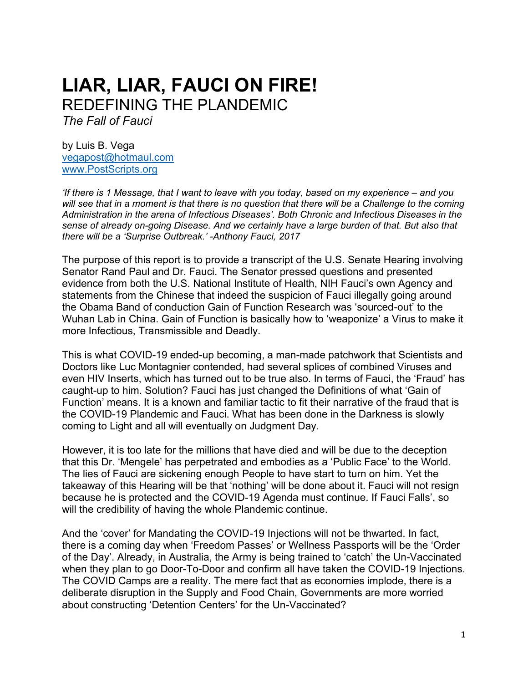# **LIAR, LIAR, FAUCI ON FIRE!** REDEFINING THE PLANDEMIC

*The Fall of Fauci*

by Luis B. Vega [vegapost@hotmaul.com](mailto:vegapost@hotmaul.com) [www.PostScripts.org](http://www.postscripts.org/)

*'If there is 1 Message, that I want to leave with you today, based on my experience – and you will see that in a moment is that there is no question that there will be a Challenge to the coming Administration in the arena of Infectious Diseases'. Both Chronic and Infectious Diseases in the sense of already on-going Disease. And we certainly have a large burden of that. But also that there will be a 'Surprise Outbreak.' -Anthony Fauci, 2017*

The purpose of this report is to provide a transcript of the U.S. Senate Hearing involving Senator Rand Paul and Dr. Fauci. The Senator pressed questions and presented evidence from both the U.S. National Institute of Health, NIH Fauci's own Agency and statements from the Chinese that indeed the suspicion of Fauci illegally going around the Obama Band of conduction Gain of Function Research was 'sourced-out' to the Wuhan Lab in China. Gain of Function is basically how to 'weaponize' a Virus to make it more Infectious, Transmissible and Deadly.

This is what COVID-19 ended-up becoming, a man-made patchwork that Scientists and Doctors like Luc Montagnier contended, had several splices of combined Viruses and even HIV Inserts, which has turned out to be true also. In terms of Fauci, the 'Fraud' has caught-up to him. Solution? Fauci has just changed the Definitions of what 'Gain of Function' means. It is a known and familiar tactic to fit their narrative of the fraud that is the COVID-19 Plandemic and Fauci. What has been done in the Darkness is slowly coming to Light and all will eventually on Judgment Day.

However, it is too late for the millions that have died and will be due to the deception that this Dr. 'Mengele' has perpetrated and embodies as a 'Public Face' to the World. The lies of Fauci are sickening enough People to have start to turn on him. Yet the takeaway of this Hearing will be that 'nothing' will be done about it. Fauci will not resign because he is protected and the COVID-19 Agenda must continue. If Fauci Falls', so will the credibility of having the whole Plandemic continue.

And the 'cover' for Mandating the COVID-19 Injections will not be thwarted. In fact, there is a coming day when 'Freedom Passes' or Wellness Passports will be the 'Order of the Day'. Already, in Australia, the Army is being trained to 'catch' the Un-Vaccinated when they plan to go Door-To-Door and confirm all have taken the COVID-19 Injections. The COVID Camps are a reality. The mere fact that as economies implode, there is a deliberate disruption in the Supply and Food Chain, Governments are more worried about constructing 'Detention Centers' for the Un-Vaccinated?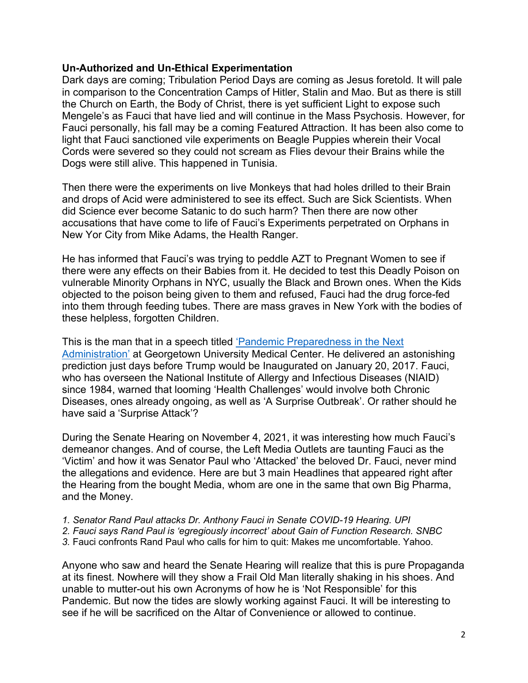# **Un-Authorized and Un-Ethical Experimentation**

Dark days are coming; Tribulation Period Days are coming as Jesus foretold. It will pale in comparison to the Concentration Camps of Hitler, Stalin and Mao. But as there is still the Church on Earth, the Body of Christ, there is yet sufficient Light to expose such Mengele's as Fauci that have lied and will continue in the Mass Psychosis. However, for Fauci personally, his fall may be a coming Featured Attraction. It has been also come to light that Fauci sanctioned vile experiments on Beagle Puppies wherein their Vocal Cords were severed so they could not scream as Flies devour their Brains while the Dogs were still alive. This happened in Tunisia.

Then there were the experiments on live Monkeys that had holes drilled to their Brain and drops of Acid were administered to see its effect. Such are Sick Scientists. When did Science ever become Satanic to do such harm? Then there are now other accusations that have come to life of Fauci's Experiments perpetrated on Orphans in New Yor City from Mike Adams, the Health Ranger.

He has informed that Fauci's was trying to peddle AZT to Pregnant Women to see if there were any effects on their Babies from it. He decided to test this Deadly Poison on vulnerable Minority Orphans in NYC, usually the Black and Brown ones. When the Kids objected to the poison being given to them and refused, Fauci had the drug force-fed into them through feeding tubes. There are mass graves in New York with the bodies of these helpless, forgotten Children.

This is the man that in a speech titled '[Pandemic Preparedness in the Next](https://gumc.georgetown.edu/gumc-stories/global-health-experts-advise-advance-planning-for-inevitable-pandemic/)  [Administration](https://gumc.georgetown.edu/gumc-stories/global-health-experts-advise-advance-planning-for-inevitable-pandemic/)' at Georgetown University Medical Center. He delivered an astonishing prediction just days before Trump would be Inaugurated on January 20, 2017. Fauci, who has overseen the National Institute of Allergy and Infectious Diseases (NIAID) since 1984, warned that looming 'Health Challenges' would involve both Chronic Diseases, ones already ongoing, as well as 'A Surprise Outbreak'. Or rather should he have said a 'Surprise Attack'?

During the Senate Hearing on November 4, 2021, it was interesting how much Fauci's demeanor changes. And of course, the Left Media Outlets are taunting Fauci as the 'Victim' and how it was Senator Paul who 'Attacked' the beloved Dr. Fauci, never mind the allegations and evidence. Here are but 3 main Headlines that appeared right after the Hearing from the bought Media, whom are one in the same that own Big Pharma, and the Money.

- *1. Senator Rand Paul attacks Dr. Anthony Fauci in Senate COVID-19 Hearing. UPI*
- *2. Fauci says Rand Paul is 'egregiously incorrect' about Gain of Function Research. SNBC*
- *3.* Fauci confronts Rand Paul who calls for him to quit: Makes me uncomfortable. Yahoo.

Anyone who saw and heard the Senate Hearing will realize that this is pure Propaganda at its finest. Nowhere will they show a Frail Old Man literally shaking in his shoes. And unable to mutter-out his own Acronyms of how he is 'Not Responsible' for this Pandemic. But now the tides are slowly working against Fauci. It will be interesting to see if he will be sacrificed on the Altar of Convenience or allowed to continue.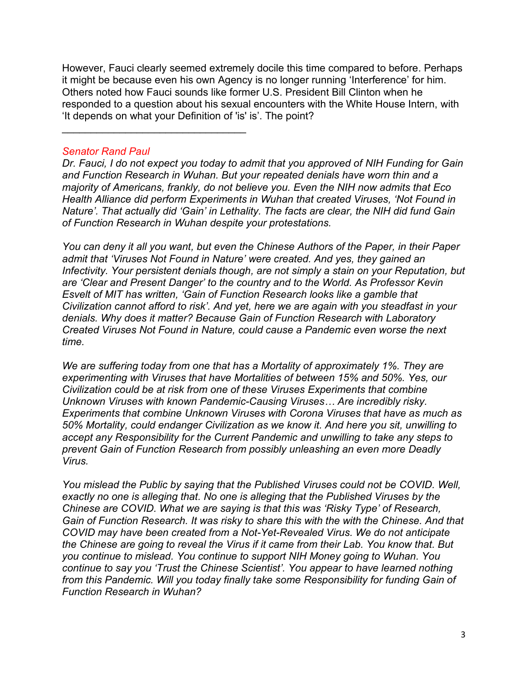However, Fauci clearly seemed extremely docile this time compared to before. Perhaps it might be because even his own Agency is no longer running 'Interference' for him. Others noted how Fauci sounds like former U.S. President Bill Clinton when he responded to a question about his sexual encounters with the White House Intern, with 'It depends on what your Definition of 'is' is'. The point?

# *Senator Rand Paul*

\_\_\_\_\_\_\_\_\_\_\_\_\_\_\_\_\_\_\_\_\_\_\_\_\_\_\_\_\_\_\_\_

*Dr. Fauci, I do not expect you today to admit that you approved of NIH Funding for Gain and Function Research in Wuhan. But your repeated denials have worn thin and a majority of Americans, frankly, do not believe you. Even the NIH now admits that Eco Health Alliance did perform Experiments in Wuhan that created Viruses, 'Not Found in Nature'. That actually did 'Gain' in Lethality. The facts are clear, the NIH did fund Gain of Function Research in Wuhan despite your protestations.*

*You can deny it all you want, but even the Chinese Authors of the Paper, in their Paper admit that 'Viruses Not Found in Nature' were created. And yes, they gained an Infectivity. Your persistent denials though, are not simply a stain on your Reputation, but are 'Clear and Present Danger' to the country and to the World. As Professor Kevin Esvelt of MIT has written, 'Gain of Function Research looks like a gamble that Civilization cannot afford to risk'. And yet, here we are again with you steadfast in your denials. Why does it matter? Because Gain of Function Research with Laboratory Created Viruses Not Found in Nature, could cause a Pandemic even worse the next time.*

*We are suffering today from one that has a Mortality of approximately 1%. They are experimenting with Viruses that have Mortalities of between 15% and 50%. Yes, our Civilization could be at risk from one of these Viruses Experiments that combine Unknown Viruses with known Pandemic-Causing Viruses… Are incredibly risky. Experiments that combine Unknown Viruses with Corona Viruses that have as much as 50% Mortality, could endanger Civilization as we know it. And here you sit, unwilling to accept any Responsibility for the Current Pandemic and unwilling to take any steps to prevent Gain of Function Research from possibly unleashing an even more Deadly Virus.*

*You mislead the Public by saying that the Published Viruses could not be COVID. Well, exactly no one is alleging that. No one is alleging that the Published Viruses by the Chinese are COVID. What we are saying is that this was 'Risky Type' of Research, Gain of Function Research. It was risky to share this with the with the Chinese. And that COVID may have been created from a Not-Yet-Revealed Virus. We do not anticipate the Chinese are going to reveal the Virus if it came from their Lab. You know that. But you continue to mislead. You continue to support NIH Money going to Wuhan. You continue to say you 'Trust the Chinese Scientist'. You appear to have learned nothing from this Pandemic. Will you today finally take some Responsibility for funding Gain of Function Research in Wuhan?*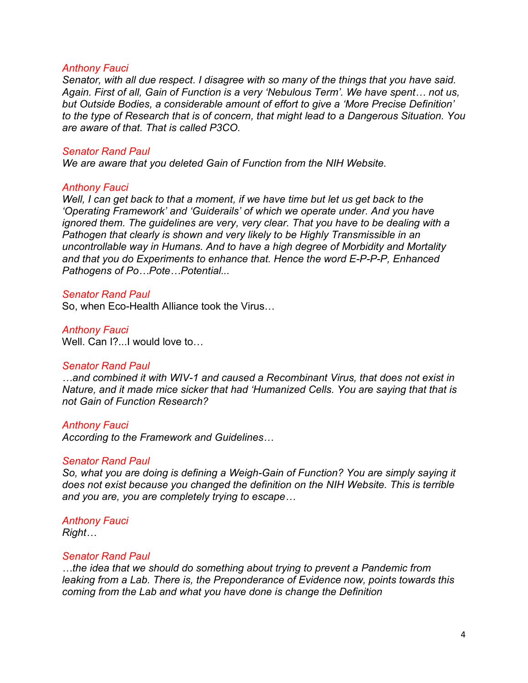#### *Anthony Fauci*

*Senator, with all due respect. I disagree with so many of the things that you have said. Again. First of all, Gain of Function is a very 'Nebulous Term'. We have spent… not us, but Outside Bodies, a considerable amount of effort to give a 'More Precise Definition' to the type of Research that is of concern, that might lead to a Dangerous Situation. You are aware of that. That is called P3CO.* 

#### *Senator Rand Paul*

*We are aware that you deleted Gain of Function from the NIH Website.*

#### *Anthony Fauci*

*Well, I can get back to that a moment, if we have time but let us get back to the 'Operating Framework' and 'Guiderails' of which we operate under. And you have ignored them. The guidelines are very, very clear. That you have to be dealing with a Pathogen that clearly is shown and very likely to be Highly Transmissible in an uncontrollable way in Humans. And to have a high degree of Morbidity and Mortality and that you do Experiments to enhance that. Hence the word E-P-P-P, Enhanced Pathogens of Po…Pote…Potential...*

# *Senator Rand Paul*

So, when Eco-Health Alliance took the Virus…

#### *Anthony Fauci*

Well. Can I?...I would love to

#### *Senator Rand Paul*

*…and combined it with WIV-1 and caused a Recombinant Virus, that does not exist in Nature, and it made mice sicker that had 'Humanized Cells. You are saying that that is not Gain of Function Research?*

#### *Anthony Fauci*

*According to the Framework and Guidelines…*

#### *Senator Rand Paul*

*So, what you are doing is defining a Weigh-Gain of Function? You are simply saying it does not exist because you changed the definition on the NIH Website. This is terrible and you are, you are completely trying to escape…*

#### *Anthony Fauci*

*Right…*

#### *Senator Rand Paul*

*…the idea that we should do something about trying to prevent a Pandemic from leaking from a Lab. There is, the Preponderance of Evidence now, points towards this coming from the Lab and what you have done is change the Definition*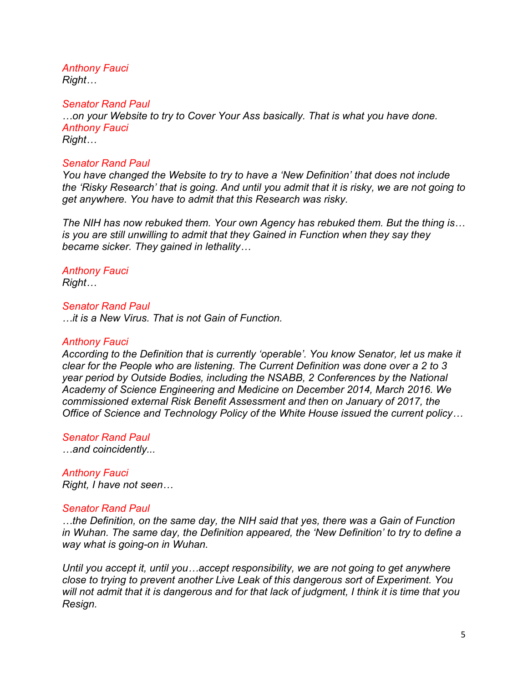*Anthony Fauci Right…*

*Senator Rand Paul*

*…on your Website to try to Cover Your Ass basically. That is what you have done. Anthony Fauci Right…*

# *Senator Rand Paul*

*You have changed the Website to try to have a 'New Definition' that does not include the 'Risky Research' that is going. And until you admit that it is risky, we are not going to get anywhere. You have to admit that this Research was risky.* 

*The NIH has now rebuked them. Your own Agency has rebuked them. But the thing is… is you are still unwilling to admit that they Gained in Function when they say they became sicker. They gained in lethality…*

# *Anthony Fauci*

*Right…*

# *Senator Rand Paul*

*…it is a New Virus. That is not Gain of Function.*

# *Anthony Fauci*

*According to the Definition that is currently 'operable'. You know Senator, let us make it clear for the People who are listening. The Current Definition was done over a 2 to 3 year period by Outside Bodies, including the NSABB, 2 Conferences by the National Academy of Science Engineering and Medicine on December 2014, March 2016. We commissioned external Risk Benefit Assessment and then on January of 2017, the Office of Science and Technology Policy of the White House issued the current policy…*

# *Senator Rand Paul*

*…and coincidently...*

#### *Anthony Fauci Right, I have not seen…*

# *Senator Rand Paul*

*…the Definition, on the same day, the NIH said that yes, there was a Gain of Function in Wuhan. The same day, the Definition appeared, the 'New Definition' to try to define a way what is going-on in Wuhan.* 

*Until you accept it, until you…accept responsibility, we are not going to get anywhere close to trying to prevent another Live Leak of this dangerous sort of Experiment. You will not admit that it is dangerous and for that lack of judgment, I think it is time that you Resign.*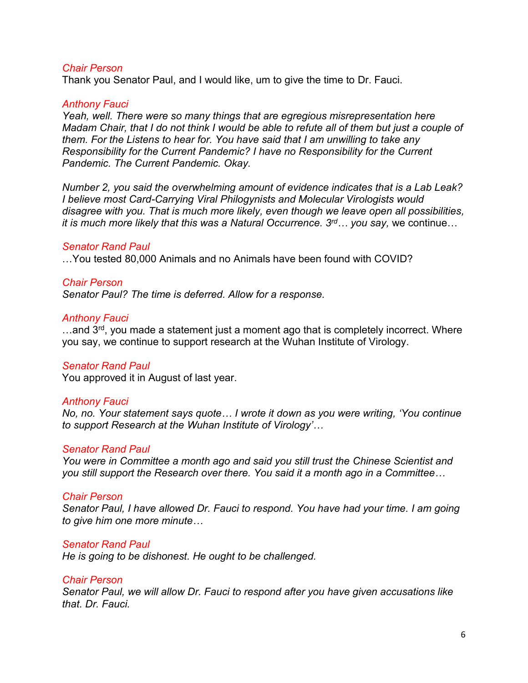#### *Chair Person*

Thank you Senator Paul, and I would like, um to give the time to Dr. Fauci.

#### *Anthony Fauci*

*Yeah, well. There were so many things that are egregious misrepresentation here Madam Chair, that I do not think I would be able to refute all of them but just a couple of them. For the Listens to hear for. You have said that I am unwilling to take any Responsibility for the Current Pandemic? I have no Responsibility for the Current Pandemic. The Current Pandemic. Okay.* 

*Number 2, you said the overwhelming amount of evidence indicates that is a Lab Leak? I believe most Card-Carrying Viral Philogynists and Molecular Virologists would disagree with you. That is much more likely, even though we leave open all possibilities, it is much more likely that this was a Natural Occurrence. 3rd… you say,* we continue…

#### *Senator Rand Paul*

…You tested 80,000 Animals and no Animals have been found with COVID?

# *Chair Person Senator Paul? The time is deferred. Allow for a response.*

# *Anthony Fauci*

...and 3<sup>rd</sup>, you made a statement just a moment ago that is completely incorrect. Where you say, we continue to support research at the Wuhan Institute of Virology.

# *Senator Rand Paul*

You approved it in August of last year.

#### *Anthony Fauci*

*No, no. Your statement says quote… I wrote it down as you were writing, 'You continue to support Research at the Wuhan Institute of Virology'…*

#### *Senator Rand Paul*

*You were in Committee a month ago and said you still trust the Chinese Scientist and you still support the Research over there. You said it a month ago in a Committee…*

#### *Chair Person*

*Senator Paul, I have allowed Dr. Fauci to respond. You have had your time. I am going to give him one more minute…*

#### *Senator Rand Paul*

*He is going to be dishonest. He ought to be challenged.*

#### *Chair Person*

*Senator Paul, we will allow Dr. Fauci to respond after you have given accusations like that. Dr. Fauci.*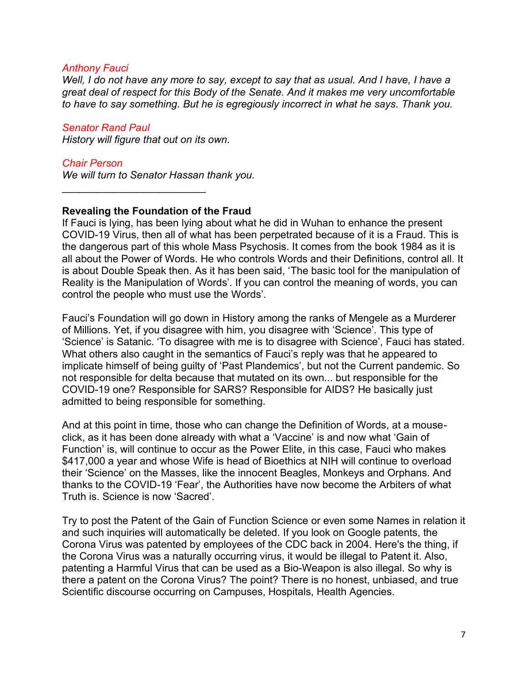#### *Anthony Fauci*

*Well, I do not have any more to say, except to say that as usual. And I have, I have a great deal of respect for this Body of the Senate. And it makes me very uncomfortable to have to say something. But he is egregiously incorrect in what he says. Thank you.*

*Senator Rand Paul History will figure that out on its own.*

\_\_\_\_\_\_\_\_\_\_\_\_\_\_\_\_\_\_\_\_\_\_\_\_\_

*Chair Person We will turn to Senator Hassan thank you.*

# **Revealing the Foundation of the Fraud**

If Fauci is lying, has been lying about what he did in Wuhan to enhance the present COVID-19 Virus, then all of what has been perpetrated because of it is a Fraud. This is the dangerous part of this whole Mass Psychosis. It comes from the book 1984 as it is all about the Power of Words. He who controls Words and their Definitions, control all. It is about Double Speak then. As it has been said, 'The basic tool for the manipulation of Reality is the Manipulation of Words'. If you can control the meaning of words, you can control the people who must use the Words'.

Fauci's Foundation will go down in History among the ranks of Mengele as a Murderer of Millions. Yet, if you disagree with him, you disagree with 'Science'. This type of 'Science' is Satanic. 'To disagree with me is to disagree with Science', Fauci has stated. What others also caught in the semantics of Fauci's reply was that he appeared to implicate himself of being guilty of 'Past Plandemics', but not the Current pandemic. So not responsible for delta because that mutated on its own... but responsible for the COVID-19 one? Responsible for SARS? Responsible for AIDS? He basically just admitted to being responsible for something.

And at this point in time, those who can change the Definition of Words, at a mouseclick, as it has been done already with what a 'Vaccine' is and now what 'Gain of Function' is, will continue to occur as the Power Elite, in this case, Fauci who makes \$417,000 a year and whose Wife is head of Bioethics at NIH will continue to overload their 'Science' on the Masses, like the innocent Beagles, Monkeys and Orphans. And thanks to the COVID-19 'Fear', the Authorities have now become the Arbiters of what Truth is. Science is now 'Sacred'.

Try to post the Patent of the Gain of Function Science or even some Names in relation it and such inquiries will automatically be deleted. If you look on Google patents, the Corona Virus was patented by employees of the CDC back in 2004. Here's the thing, if the Corona Virus was a naturally occurring virus, it would be illegal to Patent it. Also, patenting a Harmful Virus that can be used as a Bio-Weapon is also illegal. So why is there a patent on the Corona Virus? The point? There is no honest, unbiased, and true Scientific discourse occurring on Campuses, Hospitals, Health Agencies.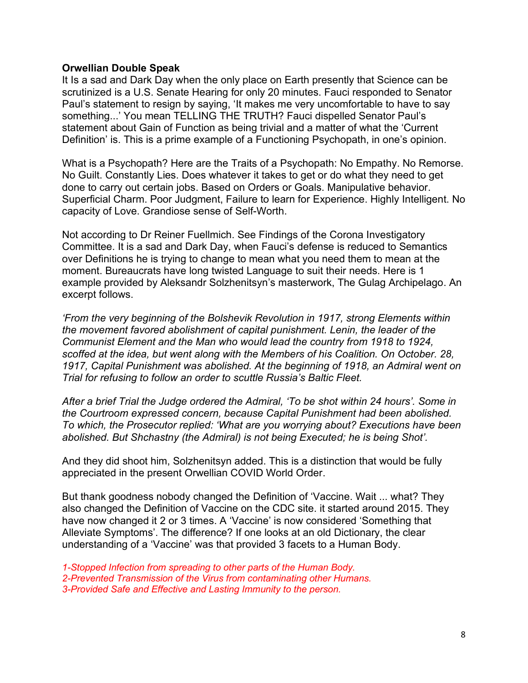# **Orwellian Double Speak**

It Is a sad and Dark Day when the only place on Earth presently that Science can be scrutinized is a U.S. Senate Hearing for only 20 minutes. Fauci responded to Senator Paul's statement to resign by saying, 'It makes me very uncomfortable to have to say something...' You mean TELLING THE TRUTH? Fauci dispelled Senator Paul's statement about Gain of Function as being trivial and a matter of what the 'Current Definition' is. This is a prime example of a Functioning Psychopath, in one's opinion.

What is a Psychopath? Here are the Traits of a Psychopath: No Empathy. No Remorse. No Guilt. Constantly Lies. Does whatever it takes to get or do what they need to get done to carry out certain jobs. Based on Orders or Goals. Manipulative behavior. Superficial Charm. Poor Judgment, Failure to learn for Experience. Highly Intelligent. No capacity of Love. Grandiose sense of Self-Worth.

Not according to Dr Reiner Fuellmich. See Findings of the Corona Investigatory Committee. It is a sad and Dark Day, when Fauci's defense is reduced to Semantics over Definitions he is trying to change to mean what you need them to mean at the moment. Bureaucrats have long twisted Language to suit their needs. Here is 1 example provided by Aleksandr Solzhenitsyn's masterwork, The Gulag Archipelago. An excerpt follows.

*'From the very beginning of the Bolshevik Revolution in 1917, strong Elements within the movement favored abolishment of capital punishment. Lenin, the leader of the Communist Element and the Man who would lead the country from 1918 to 1924, scoffed at the idea, but went along with the Members of his Coalition. On October. 28, 1917, Capital Punishment was abolished. At the beginning of 1918, an Admiral went on Trial for refusing to follow an order to scuttle Russia's Baltic Fleet.* 

*After a brief Trial the Judge ordered the Admiral, 'To be shot within 24 hours'. Some in the Courtroom expressed concern, because Capital Punishment had been abolished. To which, the Prosecutor replied: 'What are you worrying about? Executions have been abolished. But Shchastny (the Admiral) is not being Executed; he is being Shot'.*

And they did shoot him, Solzhenitsyn added. This is a distinction that would be fully appreciated in the present Orwellian COVID World Order.

But thank goodness nobody changed the Definition of 'Vaccine. Wait ... what? They also changed the Definition of Vaccine on the CDC site. it started around 2015. They have now changed it 2 or 3 times. A 'Vaccine' is now considered 'Something that Alleviate Symptoms'. The difference? If one looks at an old Dictionary, the clear understanding of a 'Vaccine' was that provided 3 facets to a Human Body.

*1-Stopped Infection from spreading to other parts of the Human Body. 2-Prevented Transmission of the Virus from contaminating other Humans. 3-Provided Safe and Effective and Lasting Immunity to the person.*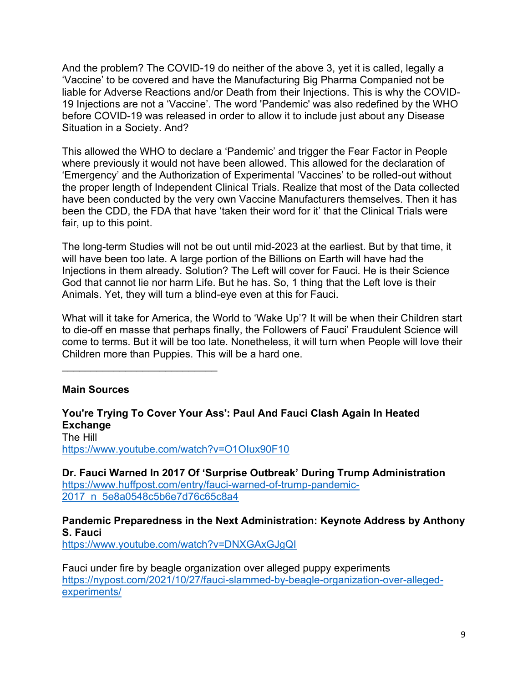And the problem? The COVID-19 do neither of the above 3, yet it is called, legally a 'Vaccine' to be covered and have the Manufacturing Big Pharma Companied not be liable for Adverse Reactions and/or Death from their Injections. This is why the COVID-19 Injections are not a 'Vaccine'. The word 'Pandemic' was also redefined by the WHO before COVID-19 was released in order to allow it to include just about any Disease Situation in a Society. And?

This allowed the WHO to declare a 'Pandemic' and trigger the Fear Factor in People where previously it would not have been allowed. This allowed for the declaration of 'Emergency' and the Authorization of Experimental 'Vaccines' to be rolled-out without the proper length of Independent Clinical Trials. Realize that most of the Data collected have been conducted by the very own Vaccine Manufacturers themselves. Then it has been the CDD, the FDA that have 'taken their word for it' that the Clinical Trials were fair, up to this point.

The long-term Studies will not be out until mid-2023 at the earliest. But by that time, it will have been too late. A large portion of the Billions on Earth will have had the Injections in them already. Solution? The Left will cover for Fauci. He is their Science God that cannot lie nor harm Life. But he has. So, 1 thing that the Left love is their Animals. Yet, they will turn a blind-eye even at this for Fauci.

What will it take for America, the World to 'Wake Up'? It will be when their Children start to die-off en masse that perhaps finally, the Followers of Fauci' Fraudulent Science will come to terms. But it will be too late. Nonetheless, it will turn when People will love their Children more than Puppies. This will be a hard one.

# **Main Sources**

\_\_\_\_\_\_\_\_\_\_\_\_\_\_\_\_\_\_\_\_\_\_\_\_\_\_\_

**You're Trying To Cover Your Ass': Paul And Fauci Clash Again In Heated Exchange** The Hill <https://www.youtube.com/watch?v=O1OIux90F10>

**Dr. Fauci Warned In 2017 Of 'Surprise Outbreak' During Trump Administration** [https://www.huffpost.com/entry/fauci-warned-of-trump-pandemic-](https://www.huffpost.com/entry/fauci-warned-of-trump-pandemic-2017_n_5e8a0548c5b6e7d76c65c8a4)[2017\\_n\\_5e8a0548c5b6e7d76c65c8a4](https://www.huffpost.com/entry/fauci-warned-of-trump-pandemic-2017_n_5e8a0548c5b6e7d76c65c8a4)

**Pandemic Preparedness in the Next Administration: Keynote Address by Anthony S. Fauci**

<https://www.youtube.com/watch?v=DNXGAxGJgQI>

Fauci under fire by beagle organization over alleged puppy experiments [https://nypost.com/2021/10/27/fauci-slammed-by-beagle-organization-over-alleged](https://nypost.com/2021/10/27/fauci-slammed-by-beagle-organization-over-alleged-experiments/)[experiments/](https://nypost.com/2021/10/27/fauci-slammed-by-beagle-organization-over-alleged-experiments/)